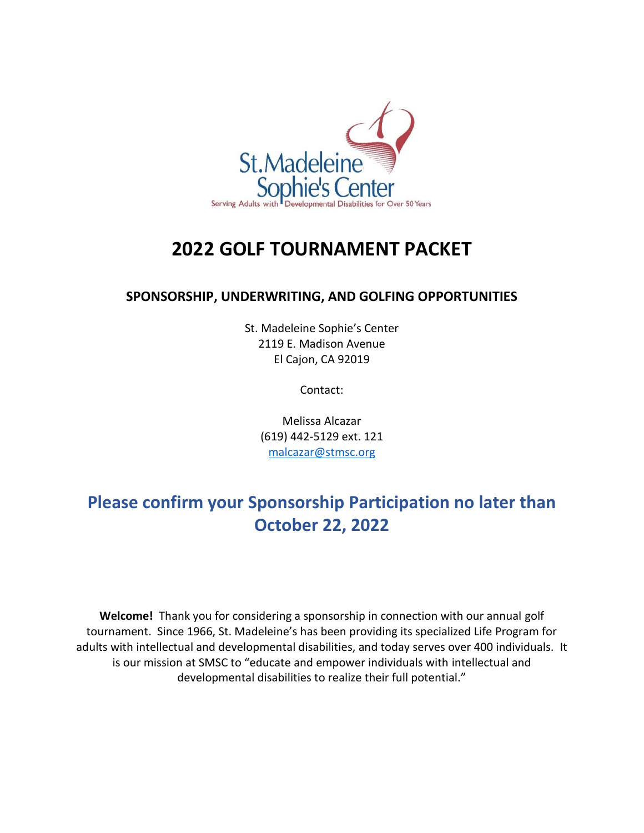

# **2022 GOLF TOURNAMENT PACKET**

## **SPONSORSHIP, UNDERWRITING, AND GOLFING OPPORTUNITIES**

St. Madeleine Sophie's Center 2119 E. Madison Avenue El Cajon, CA 92019

Contact:

Melissa Alcazar (619) 442-5129 ext. 121 [malcazar@stmsc.org](mailto:malcazar@stmsc.org)

# **Please confirm your Sponsorship Participation no later than October 22, 2022**

**Welcome!** Thank you for considering a sponsorship in connection with our annual golf tournament. Since 1966, St. Madeleine's has been providing its specialized Life Program for adults with intellectual and developmental disabilities, and today serves over 400 individuals. It is our mission at SMSC to "educate and empower individuals with intellectual and developmental disabilities to realize their full potential."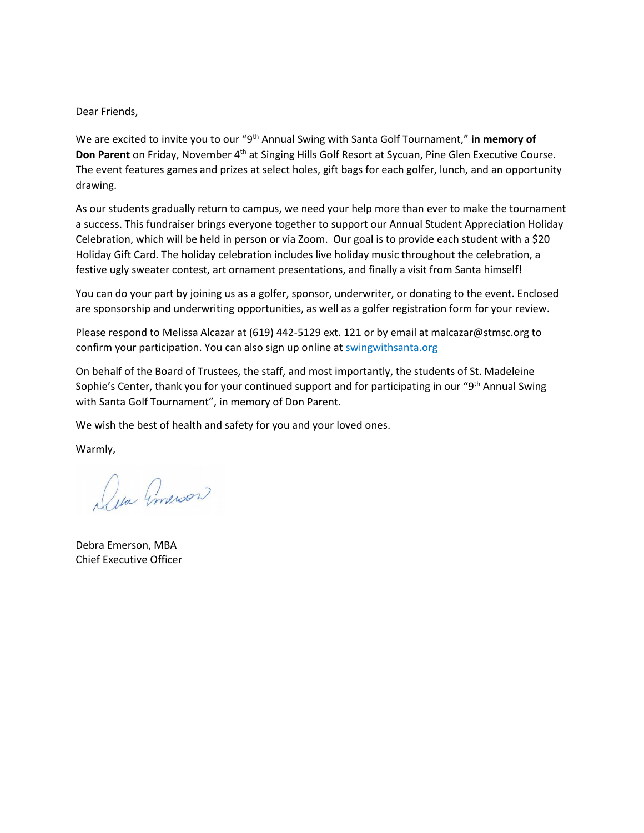Dear Friends,

We are excited to invite you to our "9<sup>th</sup> Annual Swing with Santa Golf Tournament," in memory of Don Parent on Friday, November 4<sup>th</sup> at Singing Hills Golf Resort at Sycuan, Pine Glen Executive Course. The event features games and prizes at select holes, gift bags for each golfer, lunch, and an opportunity drawing.

As our students gradually return to campus, we need your help more than ever to make the tournament a success. This fundraiser brings everyone together to support our Annual Student Appreciation Holiday Celebration, which will be held in person or via Zoom. Our goal is to provide each student with a \$20 Holiday Gift Card. The holiday celebration includes live holiday music throughout the celebration, a festive ugly sweater contest, art ornament presentations, and finally a visit from Santa himself!

You can do your part by joining us as a golfer, sponsor, underwriter, or donating to the event. Enclosed are sponsorship and underwriting opportunities, as well as a golfer registration form for your review.

Please respond to Melissa Alcazar at (619) 442-5129 ext. 121 or by email at malcazar@stmsc.org to confirm your participation. You can also sign up online at swingwithsanta.org

On behalf of the Board of Trustees, the staff, and most importantly, the students of St. Madeleine Sophie's Center, thank you for your continued support and for participating in our "9<sup>th</sup> Annual Swing with Santa Golf Tournament", in memory of Don Parent.

We wish the best of health and safety for you and your loved ones.

Warmly,

Dea meson

Debra Emerson, MBA Chief Executive Officer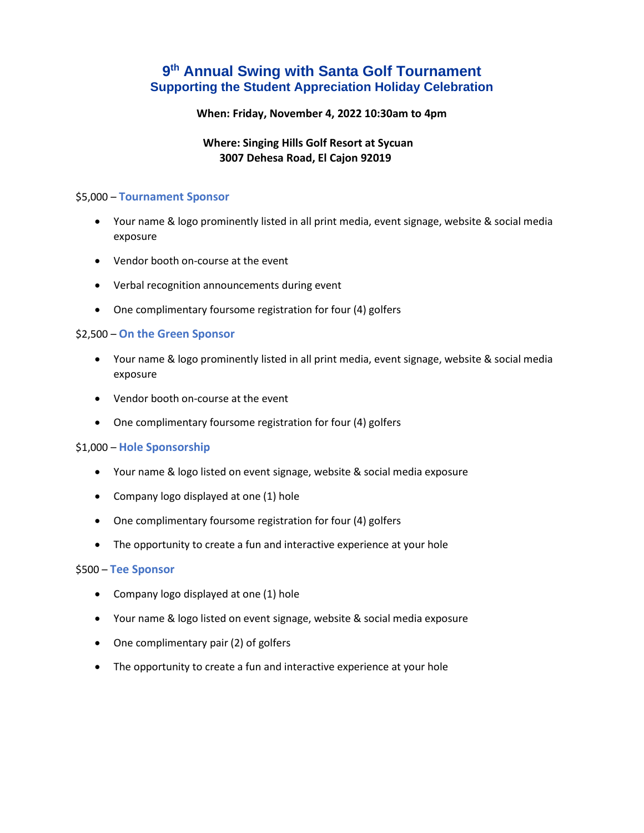## **9 th Annual Swing with Santa Golf Tournament Supporting the Student Appreciation Holiday Celebration**

#### **When: Friday, November 4, 2022 10:30am to 4pm**

#### **Where: Singing Hills Golf Resort at Sycuan 3007 Dehesa Road, El Cajon 92019**

#### \$5,000 – **Tournament Sponsor**

- Your name & logo prominently listed in all print media, event signage, website & social media exposure
- Vendor booth on-course at the event
- Verbal recognition announcements during event
- One complimentary foursome registration for four (4) golfers

#### \$2,500 – **On the Green Sponsor**

- Your name & logo prominently listed in all print media, event signage, website & social media exposure
- Vendor booth on-course at the event
- One complimentary foursome registration for four (4) golfers

#### \$1,000 – **Hole Sponsorship**

- Your name & logo listed on event signage, website & social media exposure
- Company logo displayed at one (1) hole
- One complimentary foursome registration for four (4) golfers
- The opportunity to create a fun and interactive experience at your hole

#### \$500 – **Tee Sponsor**

- Company logo displayed at one (1) hole
- Your name & logo listed on event signage, website & social media exposure
- One complimentary pair (2) of golfers
- The opportunity to create a fun and interactive experience at your hole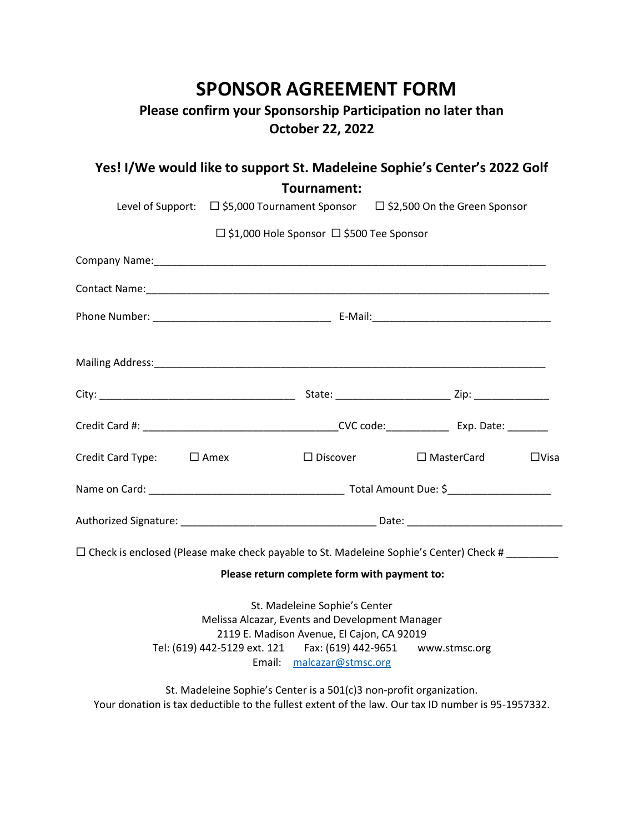# **SPONSOR AGREEMENT FORM**

## **Please confirm your Sponsorship Participation no later than October 22, 2022**

| Yes! I/We would like to support St. Madeleine Sophie's Center's 2022 Golf                          |                                                                                                                                         |                                                                            |                                              |                      |                |
|----------------------------------------------------------------------------------------------------|-----------------------------------------------------------------------------------------------------------------------------------------|----------------------------------------------------------------------------|----------------------------------------------|----------------------|----------------|
|                                                                                                    |                                                                                                                                         | Tournament:                                                                |                                              |                      |                |
|                                                                                                    | Level of Support: $\Box$ \$5,000 Tournament Sponsor $\Box$ \$2,500 On the Green Sponsor                                                 |                                                                            |                                              |                      |                |
|                                                                                                    | □ \$1,000 Hole Sponsor □ \$500 Tee Sponsor                                                                                              |                                                                            |                                              |                      |                |
|                                                                                                    |                                                                                                                                         |                                                                            |                                              |                      |                |
|                                                                                                    |                                                                                                                                         |                                                                            |                                              |                      |                |
|                                                                                                    |                                                                                                                                         |                                                                            |                                              |                      |                |
|                                                                                                    |                                                                                                                                         |                                                                            |                                              |                      |                |
|                                                                                                    |                                                                                                                                         |                                                                            |                                              |                      |                |
|                                                                                                    |                                                                                                                                         |                                                                            |                                              |                      |                |
| Credit Card Type: $\Box$ Amex                                                                      |                                                                                                                                         | $\Box$ Discover                                                            |                                              | $\square$ MasterCard | $\square$ Visa |
|                                                                                                    |                                                                                                                                         |                                                                            |                                              |                      |                |
|                                                                                                    |                                                                                                                                         |                                                                            |                                              |                      |                |
| □ Check is enclosed (Please make check payable to St. Madeleine Sophie's Center) Check # _________ |                                                                                                                                         |                                                                            |                                              |                      |                |
|                                                                                                    |                                                                                                                                         |                                                                            | Please return complete form with payment to: |                      |                |
|                                                                                                    | Melissa Alcazar, Events and Development Manager<br>2119 E. Madison Avenue, El Cajon, CA 92019<br>Tel: (619) 442-5129 ext. 121<br>Email: | St. Madeleine Sophie's Center<br>Fax: (619) 442-9651<br>malcazar@stmsc.org |                                              | www.stmsc.org        |                |
| Your donation is tax deductible to the fullest extent of the law. Our tax ID number is 95-1957332. | St. Madeleine Sophie's Center is a 501(c)3 non-profit organization.                                                                     |                                                                            |                                              |                      |                |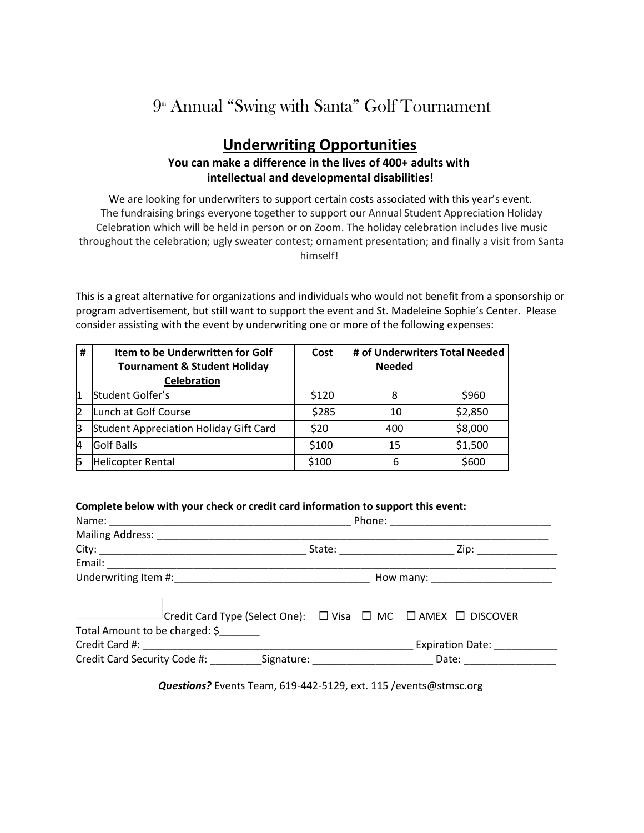# 9 th Annual "Swing with Santa" Golf Tournament

## **Underwriting Opportunities**

### **You can make a difference in the lives of 400+ adults with intellectual and developmental disabilities!**

We are looking for underwriters to support certain costs associated with this year's event. The fundraising brings everyone together to support our Annual Student Appreciation Holiday Celebration which will be held in person or on Zoom. The holiday celebration includes live music throughout the celebration; ugly sweater contest; ornament presentation; and finally a visit from Santa himself!

This is a great alternative for organizations and individuals who would not benefit from a sponsorship or program advertisement, but still want to support the event and St. Madeleine Sophie's Center. Please consider assisting with the event by underwriting one or more of the following expenses:

| #  | Item to be Underwritten for Golf              | <b>Cost</b> | # of Underwriters Total Needed |         |
|----|-----------------------------------------------|-------------|--------------------------------|---------|
|    | <b>Tournament &amp; Student Holiday</b>       |             | <b>Needed</b>                  |         |
|    | <b>Celebration</b>                            |             |                                |         |
|    | Student Golfer's                              | \$120       |                                | \$960   |
|    | Lunch at Golf Course                          | \$285       | 10                             | \$2,850 |
| IЗ | <b>Student Appreciation Holiday Gift Card</b> | \$20        | 400                            | \$8,000 |
| 4  | <b>Golf Balls</b>                             | \$100       | 15                             | \$1,500 |
|    | <b>Helicopter Rental</b>                      | \$100       |                                | \$600   |

#### **Complete below with your check or credit card information to support this event:**

|                                | Credit Card Type (Select One): □ Visa □ MC □ AMEX □ DISCOVER                                        |  |  |                  |  |
|--------------------------------|-----------------------------------------------------------------------------------------------------|--|--|------------------|--|
| Total Amount to be charged: \$ |                                                                                                     |  |  |                  |  |
|                                |                                                                                                     |  |  | Expiration Date: |  |
|                                | Credit Card Security Code #: ___________Signature: __________________________Date: ________________ |  |  |                  |  |

*Questions?* Events Team, 619-442-5129, ext. 115 /events@stmsc.org